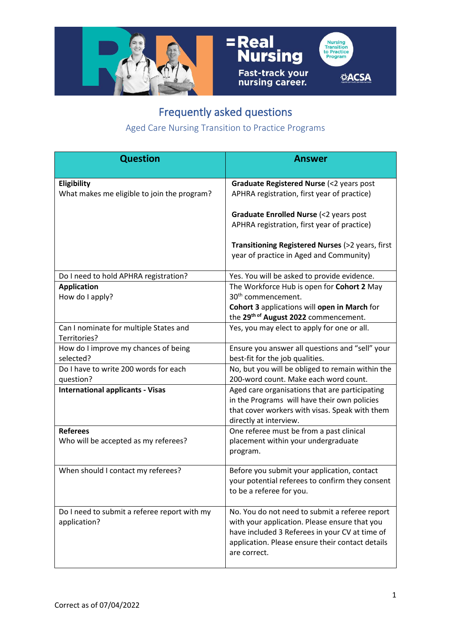

## =Real<br>Nursing Fast-track your<br>nursing career.



## Frequently asked questions

Aged Care Nursing Transition to Practice Programs

| <b>Question</b>                                        | <b>Answer</b>                                                                                  |
|--------------------------------------------------------|------------------------------------------------------------------------------------------------|
| Eligibility                                            | Graduate Registered Nurse (<2 years post                                                       |
| What makes me eligible to join the program?            | APHRA registration, first year of practice)                                                    |
|                                                        | Graduate Enrolled Nurse (<2 years post                                                         |
|                                                        | APHRA registration, first year of practice)                                                    |
|                                                        | Transitioning Registered Nurses (>2 years, first                                               |
|                                                        | year of practice in Aged and Community)                                                        |
| Do I need to hold APHRA registration?                  | Yes. You will be asked to provide evidence.                                                    |
| <b>Application</b>                                     | The Workforce Hub is open for Cohort 2 May<br>30 <sup>th</sup> commencement.                   |
| How do I apply?                                        |                                                                                                |
|                                                        | Cohort 3 applications will open in March for<br>the 29th of August 2022 commencement.          |
| Can I nominate for multiple States and<br>Territories? | Yes, you may elect to apply for one or all.                                                    |
| How do I improve my chances of being                   | Ensure you answer all questions and "sell" your                                                |
| selected?                                              | best-fit for the job qualities.                                                                |
| Do I have to write 200 words for each                  | No, but you will be obliged to remain within the                                               |
| question?                                              | 200-word count. Make each word count.                                                          |
| <b>International applicants - Visas</b>                | Aged care organisations that are participating<br>in the Programs will have their own policies |
|                                                        | that cover workers with visas. Speak with them                                                 |
|                                                        | directly at interview.                                                                         |
| <b>Referees</b>                                        | One referee must be from a past clinical                                                       |
| Who will be accepted as my referees?                   | placement within your undergraduate                                                            |
|                                                        | program.                                                                                       |
| When should I contact my referees?                     | Before you submit your application, contact                                                    |
|                                                        | your potential referees to confirm they consent                                                |
|                                                        | to be a referee for you.                                                                       |
| Do I need to submit a referee report with my           | No. You do not need to submit a referee report                                                 |
| application?                                           | with your application. Please ensure that you                                                  |
|                                                        | have included 3 Referees in your CV at time of                                                 |
|                                                        | application. Please ensure their contact details<br>are correct.                               |
|                                                        |                                                                                                |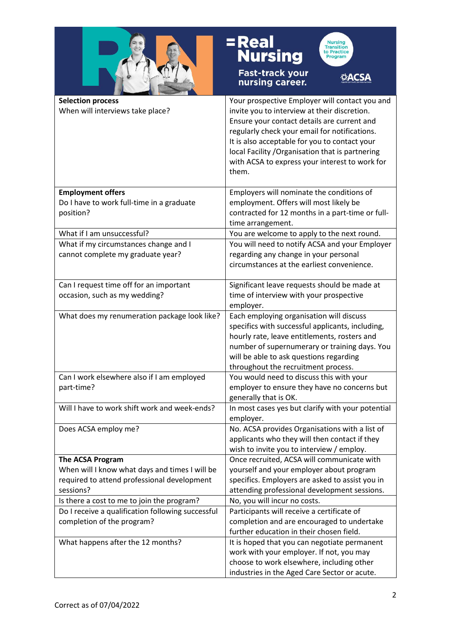

## = Real<br>Nursing



Fast-track your<br>nursing career.

**ØACSA** 

| <b>Selection process</b><br>When will interviews take place?          | Your prospective Employer will contact you and<br>invite you to interview at their discretion.<br>Ensure your contact details are current and<br>regularly check your email for notifications.<br>It is also acceptable for you to contact your<br>local Facility / Organisation that is partnering<br>with ACSA to express your interest to work for<br>them. |
|-----------------------------------------------------------------------|----------------------------------------------------------------------------------------------------------------------------------------------------------------------------------------------------------------------------------------------------------------------------------------------------------------------------------------------------------------|
| <b>Employment offers</b><br>Do I have to work full-time in a graduate | Employers will nominate the conditions of<br>employment. Offers will most likely be                                                                                                                                                                                                                                                                            |
| position?                                                             | contracted for 12 months in a part-time or full-<br>time arrangement.                                                                                                                                                                                                                                                                                          |
| What if I am unsuccessful?                                            | You are welcome to apply to the next round.                                                                                                                                                                                                                                                                                                                    |
| What if my circumstances change and I                                 | You will need to notify ACSA and your Employer                                                                                                                                                                                                                                                                                                                 |
| cannot complete my graduate year?                                     | regarding any change in your personal<br>circumstances at the earliest convenience.                                                                                                                                                                                                                                                                            |
| Can I request time off for an important                               | Significant leave requests should be made at                                                                                                                                                                                                                                                                                                                   |
| occasion, such as my wedding?                                         | time of interview with your prospective<br>employer.                                                                                                                                                                                                                                                                                                           |
| What does my renumeration package look like?                          | Each employing organisation will discuss<br>specifics with successful applicants, including,<br>hourly rate, leave entitlements, rosters and<br>number of supernumerary or training days. You<br>will be able to ask questions regarding<br>throughout the recruitment process.                                                                                |
| Can I work elsewhere also if I am employed                            | You would need to discuss this with your                                                                                                                                                                                                                                                                                                                       |
| part-time?                                                            | employer to ensure they have no concerns but<br>generally that is OK.                                                                                                                                                                                                                                                                                          |
| Will I have to work shift work and week-ends?                         | In most cases yes but clarify with your potential<br>employer.                                                                                                                                                                                                                                                                                                 |
| Does ACSA employ me?                                                  | No. ACSA provides Organisations with a list of<br>applicants who they will then contact if they<br>wish to invite you to interview / employ.                                                                                                                                                                                                                   |
| <b>The ACSA Program</b>                                               | Once recruited, ACSA will communicate with                                                                                                                                                                                                                                                                                                                     |
| When will I know what days and times I will be                        | yourself and your employer about program                                                                                                                                                                                                                                                                                                                       |
| required to attend professional development                           | specifics. Employers are asked to assist you in                                                                                                                                                                                                                                                                                                                |
| sessions?<br>Is there a cost to me to join the program?               | attending professional development sessions.<br>No, you will incur no costs.                                                                                                                                                                                                                                                                                   |
| Do I receive a qualification following successful                     | Participants will receive a certificate of                                                                                                                                                                                                                                                                                                                     |
| completion of the program?                                            | completion and are encouraged to undertake<br>further education in their chosen field.                                                                                                                                                                                                                                                                         |
| What happens after the 12 months?                                     | It is hoped that you can negotiate permanent<br>work with your employer. If not, you may                                                                                                                                                                                                                                                                       |
|                                                                       | choose to work elsewhere, including other                                                                                                                                                                                                                                                                                                                      |
|                                                                       | industries in the Aged Care Sector or acute.                                                                                                                                                                                                                                                                                                                   |